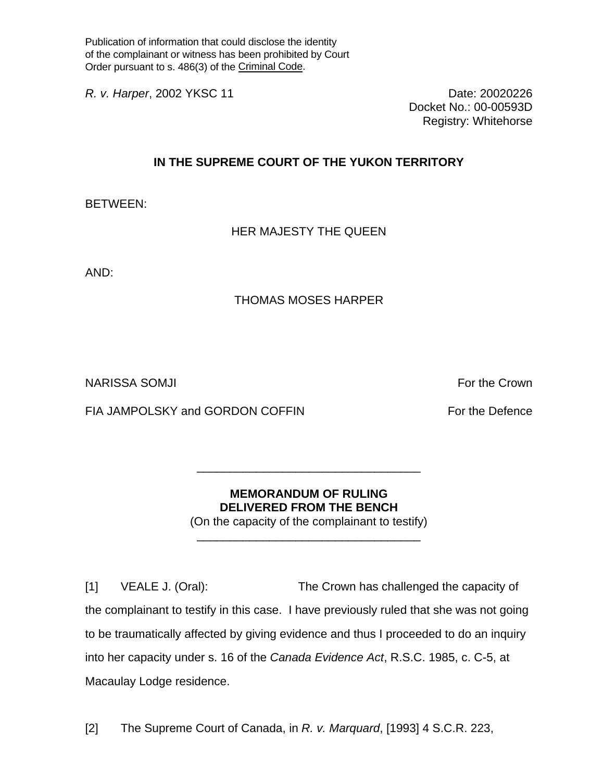Publication of information that could disclose the identity of the complainant or witness has been prohibited by Court Order pursuant to s. 486(3) of the Criminal Code.

*R. v. Harper*, 2002 YKSC 11 **Date: 20020226** Date: 20020226

Docket No.: 00-00593D Registry: Whitehorse

## **IN THE SUPREME COURT OF THE YUKON TERRITORY**

BETWEEN:

HER MAJESTY THE QUEEN

AND:

## THOMAS MOSES HARPER

NARISSA SOMJI For the Crown in the Crown of the Crown in the Crown in the Crown in the Crown in the Crown in the Crown in the Crown in the Crown in the Crown in the Crown in the Crown in the Crown in the Crown in the Crown

FIA JAMPOLSKY and GORDON COFFIN FOR THE POST For the Defence

## **MEMORANDUM OF RULING DELIVERED FROM THE BENCH**

\_\_\_\_\_\_\_\_\_\_\_\_\_\_\_\_\_\_\_\_\_\_\_\_\_\_\_\_\_\_\_\_\_\_

(On the capacity of the complainant to testify) \_\_\_\_\_\_\_\_\_\_\_\_\_\_\_\_\_\_\_\_\_\_\_\_\_\_\_\_\_\_\_\_\_\_

[1] VEALE J. (Oral): The Crown has challenged the capacity of the complainant to testify in this case. I have previously ruled that she was not going to be traumatically affected by giving evidence and thus I proceeded to do an inquiry into her capacity under s. 16 of the *Canada Evidence Act*, R.S.C. 1985, c. C-5, at Macaulay Lodge residence.

[2] The Supreme Court of Canada, in *R. v. Marquard*, [1993] 4 S.C.R. 223,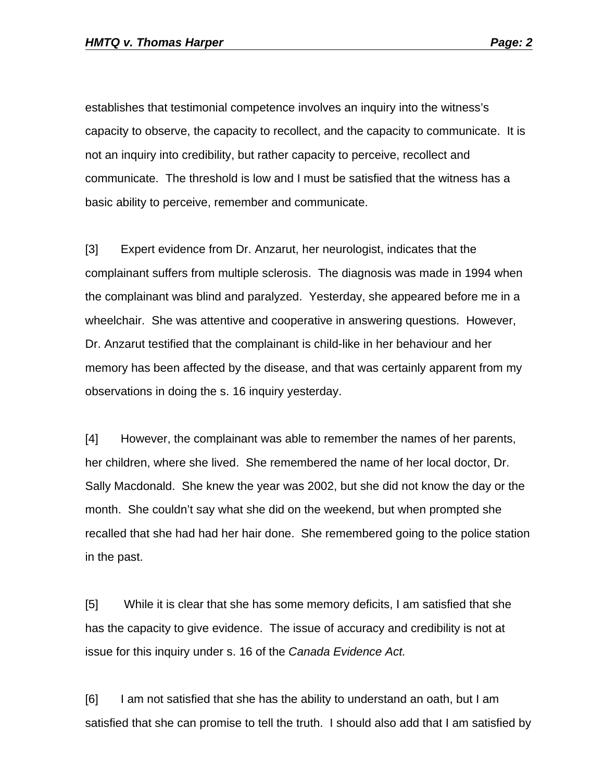establishes that testimonial competence involves an inquiry into the witness's capacity to observe, the capacity to recollect, and the capacity to communicate. It is not an inquiry into credibility, but rather capacity to perceive, recollect and communicate. The threshold is low and I must be satisfied that the witness has a basic ability to perceive, remember and communicate.

[3] Expert evidence from Dr. Anzarut, her neurologist, indicates that the complainant suffers from multiple sclerosis. The diagnosis was made in 1994 when the complainant was blind and paralyzed. Yesterday, she appeared before me in a wheelchair. She was attentive and cooperative in answering questions. However, Dr. Anzarut testified that the complainant is child-like in her behaviour and her memory has been affected by the disease, and that was certainly apparent from my observations in doing the s. 16 inquiry yesterday.

[4] However, the complainant was able to remember the names of her parents, her children, where she lived. She remembered the name of her local doctor, Dr. Sally Macdonald. She knew the year was 2002, but she did not know the day or the month. She couldn't say what she did on the weekend, but when prompted she recalled that she had had her hair done. She remembered going to the police station in the past.

[5] While it is clear that she has some memory deficits, I am satisfied that she has the capacity to give evidence. The issue of accuracy and credibility is not at issue for this inquiry under s. 16 of the *Canada Evidence Act.*

[6] I am not satisfied that she has the ability to understand an oath, but I am satisfied that she can promise to tell the truth. I should also add that I am satisfied by